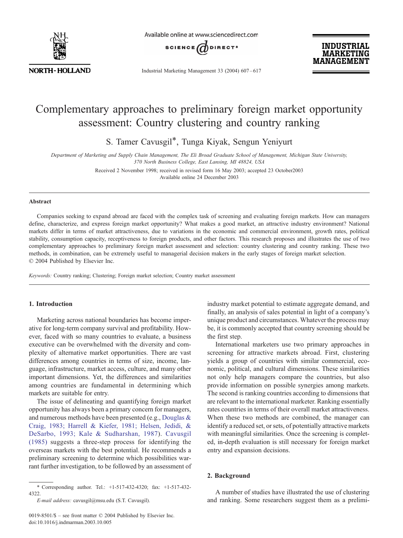

Available online at www.sciencedirect.com



Industrial Marketing Management 33 (2004) 607 – 617

**INDUSTRIAL MARKETING** MANAGEMENT

## Complementary approaches to preliminary foreign market opportunity assessment: Country clustering and country ranking

S. Tamer Cavusgil\*, Tunga Kiyak, Sengun Yeniyurt

Department of Marketing and Supply Chain Management, The Eli Broad Graduate School of Management, Michigan State University, 370 North Business College, East Lansing, MI 48824, USA

> Received 2 November 1998; received in revised form 16 May 2003; accepted 23 October2003 Available online 24 December 2003

#### Abstract

Companies seeking to expand abroad are faced with the complex task of screening and evaluating foreign markets. How can managers define, characterize, and express foreign market opportunity? What makes a good market, an attractive industry environment? National markets differ in terms of market attractiveness, due to variations in the economic and commercial environment, growth rates, political stability, consumption capacity, receptiveness to foreign products, and other factors. This research proposes and illustrates the use of two complementary approaches to preliminary foreign market assessment and selection: country clustering and country ranking. These two methods, in combination, can be extremely useful to managerial decision makers in the early stages of foreign market selection.  $© 2004$  Published by Elsevier Inc.

Keywords: Country ranking; Clustering; Foreign market selection; Country market assessment

#### 1. Introduction

Marketing across national boundaries has become imperative for long-term company survival and profitability. However, faced with so many countries to evaluate, a business executive can be overwhelmed with the diversity and complexity of alternative market opportunities. There are vast differences among countries in terms of size, income, language, infrastructure, market access, culture, and many other important dimensions. Yet, the differences and similarities among countries are fundamental in determining which markets are suitable for entry.

The issue of delineating and quantifying foreign market opportunity has always been a primary concern for managers, and numerous methods have been presented (e.g., [Douglas &](#page--1-0) Craig, 1983; Harrell & Kiefer, 1981; Helsen, Jedidi, & DeSarbo, 1993; Kale & Sudharshan, 1987). [Cavusgil](#page--1-0) (1985) suggests a three-step process for identifying the overseas markets with the best potential. He recommends a preliminary screening to determine which possibilities warrant further investigation, to be followed by an assessment of

\* Corresponding author. Tel.: +1-517-432-4320; fax: +1-517-432- 4322.

industry market potential to estimate aggregate demand, and finally, an analysis of sales potential in light of a company's unique product and circumstances. Whatever the process may be, it is commonly accepted that country screening should be the first step.

International marketers use two primary approaches in screening for attractive markets abroad. First, clustering yields a group of countries with similar commercial, economic, political, and cultural dimensions. These similarities not only help managers compare the countries, but also provide information on possible synergies among markets. The second is ranking countries according to dimensions that are relevant to the international marketer. Ranking essentially rates countries in terms of their overall market attractiveness. When these two methods are combined, the manager can identify a reduced set, or sets, of potentially attractive markets with meaningful similarities. Once the screening is completed, in-depth evaluation is still necessary for foreign market entry and expansion decisions.

#### 2. Background

A number of studies have illustrated the use of clustering and ranking. Some researchers suggest them as a prelimi-

E-mail address: cavusgil@msu.edu (S.T. Cavusgil).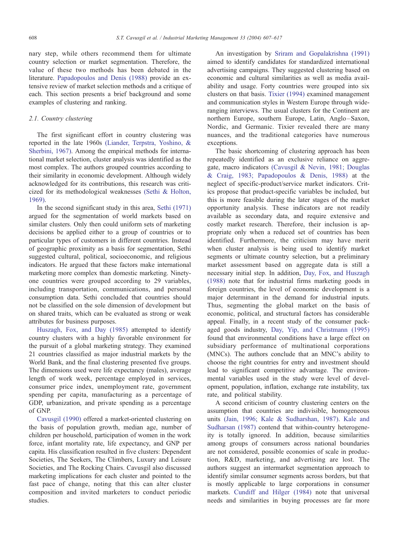nary step, while others recommend them for ultimate country selection or market segmentation. Therefore, the value of these two methods has been debated in the literature. [Papadopoulos and Denis \(1988\)](#page--1-0) provide an extensive review of market selection methods and a critique of each. This section presents a brief background and some examples of clustering and ranking.

### 2.1. Country clustering

The first significant effort in country clustering was reported in the late 1960s [\(Liander, Terpstra, Yoshino, &](#page--1-0) Sherbini, 1967). Among the empirical methods for international market selection, cluster analysis was identified as the most complex. The authors grouped countries according to their similarity in economic development. Although widely acknowledged for its contributions, this research was criticized for its methodological weaknesses [\(Sethi & Holton,](#page--1-0) 1969).

In the second significant study in this area, [Sethi \(1971\)](#page--1-0) argued for the segmentation of world markets based on similar clusters. Only then could uniform sets of marketing decisions be applied either to a group of countries or to particular types of customers in different countries. Instead of geographic proximity as a basis for segmentation, Sethi suggested cultural, political, socioeconomic, and religious indicators. He argued that these factors make international marketing more complex than domestic marketing. Ninetyone countries were grouped according to 29 variables, including transportation, communications, and personal consumption data. Sethi concluded that countries should not be classified on the sole dimension of development but on shared traits, which can be evaluated as strong or weak attributes for business purposes.

[Huszagh, Fox, and Day \(1985\)](#page--1-0) attempted to identify country clusters with a highly favorable environment for the pursuit of a global marketing strategy. They examined 21 countries classified as major industrial markets by the World Bank, and the final clustering presented five groups. The dimensions used were life expectancy (males), average length of work week, percentage employed in services, consumer price index, unemployment rate, government spending per capita, manufacturing as a percentage of GDP, urbanization, and private spending as a percentage of GNP.

[Cavusgil \(1990\)](#page--1-0) offered a market-oriented clustering on the basis of population growth, median age, number of children per household, participation of women in the work force, infant mortality rate, life expectancy, and GNP per capita. His classification resulted in five clusters: Dependent Societies, The Seekers, The Climbers, Luxury and Leisure Societies, and The Rocking Chairs. Cavusgil also discussed marketing implications for each cluster and pointed to the fast pace of change, noting that this can alter cluster composition and invited marketers to conduct periodic studies.

An investigation by [Sriram and Gopalakrishna \(1991\)](#page--1-0) aimed to identify candidates for standardized international advertising campaigns. They suggested clustering based on economic and cultural similarities as well as media availability and usage. Forty countries were grouped into six clusters on that basis. [Tixier \(1994\)](#page--1-0) examined management and communication styles in Western Europe through wideranging interviews. The usual clusters for the Continent are northern Europe, southern Europe, Latin, Anglo –Saxon, Nordic, and Germanic. Tixier revealed there are many nuances, and the traditional categories have numerous exceptions.

The basic shortcoming of clustering approach has been repeatedly identified as an exclusive reliance on aggregate, macro indicators [\(Cavusgil & Nevin, 1981; Douglas](#page--1-0) & Craig, 1983; Papadopoulos & Denis, 1988) at the neglect of specific-product/service market indicators. Critics propose that product-specific variables be included, but this is more feasible during the later stages of the market opportunity analysis. These indicators are not readily available as secondary data, and require extensive and costly market research. Therefore, their inclusion is appropriate only when a reduced set of countries has been identified. Furthermore, the criticism may have merit when cluster analysis is being used to identify market segments or ultimate country selection, but a preliminary market assessment based on aggregate data is still a necessary initial step. In addition, [Day, Fox, and Huszagh](#page--1-0) (1988) note that for industrial firms marketing goods in foreign countries, the level of economic development is a major determinant in the demand for industrial inputs. Thus, segmenting the global market on the basis of economic, political, and structural factors has considerable appeal. Finally, in a recent study of the consumer packaged goods industry, [Day, Yip, and Christmann \(1995\)](#page--1-0) found that environmental conditions have a large effect on subsidiary performance of multinational corporations (MNCs). The authors conclude that an MNC's ability to choose the right countries for entry and investment should lead to significant competitive advantage. The environmental variables used in the study were level of development, population, inflation, exchange rate instability, tax rate, and political stability.

A second criticism of country clustering centers on the assumption that countries are indivisible, homogeneous units [\(Jain, 1996; Kale & Sudharshan, 1987\).](#page--1-0) [Kale and](#page--1-0) Sudharsan (1987) contend that within-country heterogeneity is totally ignored. In addition, because similarities among groups of consumers across national boundaries are not considered, possible economies of scale in production, R&D, marketing, and advertising are lost. The authors suggest an intermarket segmentation approach to identify similar consumer segments across borders, but that is mostly applicable to large corporations in consumer markets. [Cundiff and Hilger \(1984\)](#page--1-0) note that universal needs and similarities in buying processes are far more